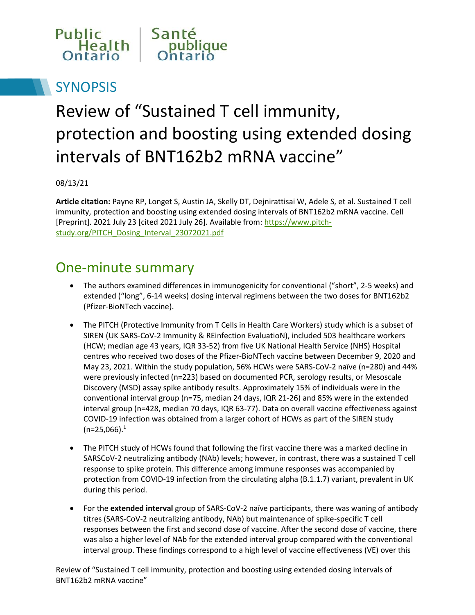

### **SYNOPSIS**

# Review of "Sustained T cell immunity, protection and boosting using extended dosing intervals of BNT162b2 mRNA vaccine"

08/13/21

**Article citation:** Payne RP, Longet S, Austin JA, Skelly DT, Dejnirattisai W, Adele S, et al. Sustained T cell immunity, protection and boosting using extended dosing intervals of BNT162b2 mRNA vaccine. Cell [Preprint]. 2021 July 23 [cited 2021 July 26]. Available from: [https://www.pitch](https://www.pitch-study.org/PITCH_Dosing_Interval_23072021.pdf)[study.org/PITCH\\_Dosing\\_Interval\\_23072021.pdf](https://www.pitch-study.org/PITCH_Dosing_Interval_23072021.pdf)

### One-minute summary

- The authors examined differences in immunogenicity for conventional ("short", 2-5 weeks) and extended ("long", 6-14 weeks) dosing interval regimens between the two doses for BNT162b2 (Pfizer-BioNTech vaccine).
- The PITCH (Protective Immunity from T Cells in Health Care Workers) study which is a subset of SIREN (UK SARS-CoV-2 Immunity & REinfection EvaluatioN), included 503 healthcare workers (HCW; median age 43 years, IQR 33-52) from five UK National Health Service (NHS) Hospital centres who received two doses of the Pfizer-BioNTech vaccine between December 9, 2020 and May 23, 2021. Within the study population, 56% HCWs were SARS-CoV-2 naïve (n=280) and 44% were previously infected (n=223) based on documented PCR, serology results, or Mesoscale Discovery (MSD) assay spike antibody results. Approximately 15% of individuals were in the conventional interval group (n=75, median 24 days, IQR 21-26) and 85% were in the extended interval group (n=428, median 70 days, IQR 63-77). Data on overall vaccine effectiveness against COVID-19 infection was obtained from a larger cohort of HCWs as part of the SIREN study  $(n=25,066).$ <sup>1</sup>
- The PITCH study of HCWs found that following the first vaccine there was a marked decline in SARSCoV-2 neutralizing antibody (NAb) levels; however, in contrast, there was a sustained T cell response to spike protein. This difference among immune responses was accompanied by protection from COVID-19 infection from the circulating alpha (B.1.1.7) variant, prevalent in UK during this period.
- For the **extended interval** group of SARS-CoV-2 naïve participants, there was waning of antibody titres (SARS-CoV-2 neutralizing antibody, NAb) but maintenance of spike-specific T cell responses between the first and second dose of vaccine. After the second dose of vaccine, there was also a higher level of NAb for the extended interval group compared with the conventional interval group. These findings correspond to a high level of vaccine effectiveness (VE) over this

Review of "Sustained T cell immunity, protection and boosting using extended dosing intervals of BNT162b2 mRNA vaccine"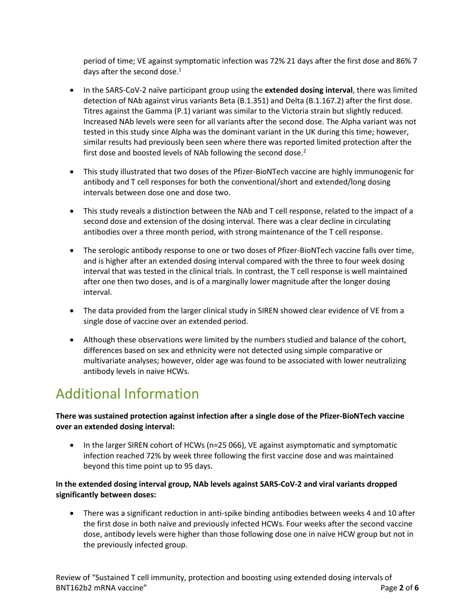period of time; VE against symptomatic infection was 72% 21 days after the first dose and 86% 7 days after the second dose.<sup>1</sup>

- In the SARS-CoV-2 naïve participant group using the **extended dosing interval**, there was limited detection of NAb against virus variants Beta (B.1.351) and Delta (B.1.167.2) after the first dose. Titres against the Gamma (P.1) variant was similar to the Victoria strain but slightly reduced. Increased NAb levels were seen for all variants after the second dose. The Alpha variant was not tested in this study since Alpha was the dominant variant in the UK during this time; however, similar results had previously been seen where there was reported limited protection after the first dose and boosted levels of NAb following the second dose.<sup>2</sup>
- This study illustrated that two doses of the Pfizer-BioNTech vaccine are highly immunogenic for antibody and T cell responses for both the conventional/short and extended/long dosing intervals between dose one and dose two.
- This study reveals a distinction between the NAb and T cell response, related to the impact of a second dose and extension of the dosing interval. There was a clear decline in circulating antibodies over a three month period, with strong maintenance of the T cell response.
- The serologic antibody response to one or two doses of Pfizer-BioNTech vaccine falls over time, and is higher after an extended dosing interval compared with the three to four week dosing interval that was tested in the clinical trials. In contrast, the T cell response is well maintained after one then two doses, and is of a marginally lower magnitude after the longer dosing interval.
- The data provided from the larger clinical study in SIREN showed clear evidence of VE from a single dose of vaccine over an extended period.
- Although these observations were limited by the numbers studied and balance of the cohort, differences based on sex and ethnicity were not detected using simple comparative or multivariate analyses; however, older age was found to be associated with lower neutralizing antibody levels in naive HCWs.

### Additional Information

**There was sustained protection against infection after a single dose of the Pfizer-BioNTech vaccine over an extended dosing interval:**

• In the larger SIREN cohort of HCWs (n=25 066), VE against asymptomatic and symptomatic infection reached 72% by week three following the first vaccine dose and was maintained beyond this time point up to 95 days.

#### **In the extended dosing interval group, NAb levels against SARS-CoV-2 and viral variants dropped significantly between doses:**

 There was a significant reduction in anti-spike binding antibodies between weeks 4 and 10 after the first dose in both naïve and previously infected HCWs. Four weeks after the second vaccine dose, antibody levels were higher than those following dose one in naïve HCW group but not in the previously infected group.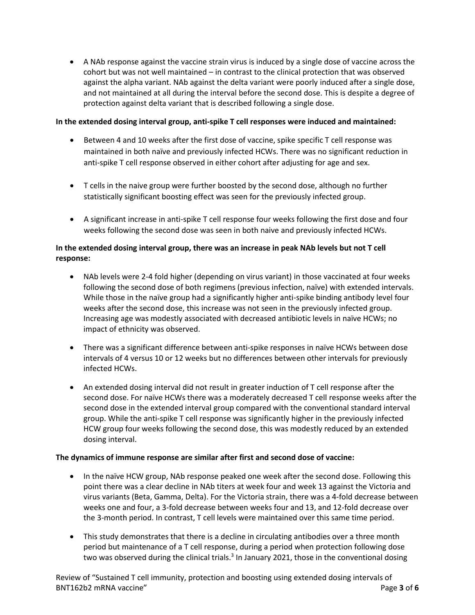A NAb response against the vaccine strain virus is induced by a single dose of vaccine across the cohort but was not well maintained – in contrast to the clinical protection that was observed against the alpha variant. NAb against the delta variant were poorly induced after a single dose, and not maintained at all during the interval before the second dose. This is despite a degree of protection against delta variant that is described following a single dose.

#### **In the extended dosing interval group, anti-spike T cell responses were induced and maintained:**

- Between 4 and 10 weeks after the first dose of vaccine, spike specific T cell response was maintained in both naïve and previously infected HCWs. There was no significant reduction in anti-spike T cell response observed in either cohort after adjusting for age and sex.
- T cells in the naive group were further boosted by the second dose, although no further statistically significant boosting effect was seen for the previously infected group.
- A significant increase in anti-spike T cell response four weeks following the first dose and four weeks following the second dose was seen in both naive and previously infected HCWs.

#### **In the extended dosing interval group, there was an increase in peak NAb levels but not T cell response:**

- NAb levels were 2-4 fold higher (depending on virus variant) in those vaccinated at four weeks following the second dose of both regimens (previous infection, naïve) with extended intervals. While those in the naïve group had a significantly higher anti-spike binding antibody level four weeks after the second dose, this increase was not seen in the previously infected group. Increasing age was modestly associated with decreased antibiotic levels in naïve HCWs; no impact of ethnicity was observed.
- There was a significant difference between anti-spike responses in naïve HCWs between dose intervals of 4 versus 10 or 12 weeks but no differences between other intervals for previously infected HCWs.
- An extended dosing interval did not result in greater induction of T cell response after the second dose. For naïve HCWs there was a moderately decreased T cell response weeks after the second dose in the extended interval group compared with the conventional standard interval group. While the anti-spike T cell response was significantly higher in the previously infected HCW group four weeks following the second dose, this was modestly reduced by an extended dosing interval.

#### **The dynamics of immune response are similar after first and second dose of vaccine:**

- In the naïve HCW group, NAb response peaked one week after the second dose. Following this point there was a clear decline in NAb titers at week four and week 13 against the Victoria and virus variants (Beta, Gamma, Delta). For the Victoria strain, there was a 4-fold decrease between weeks one and four, a 3-fold decrease between weeks four and 13, and 12-fold decrease over the 3-month period. In contrast, T cell levels were maintained over this same time period.
- This study demonstrates that there is a decline in circulating antibodies over a three month period but maintenance of a T cell response, during a period when protection following dose two was observed during the clinical trials.<sup>3</sup> In January 2021, those in the conventional dosing

Review of "Sustained T cell immunity, protection and boosting using extended dosing intervals of BNT162b2 mRNA vaccine" **Page 3** of **6**  $\overline{}$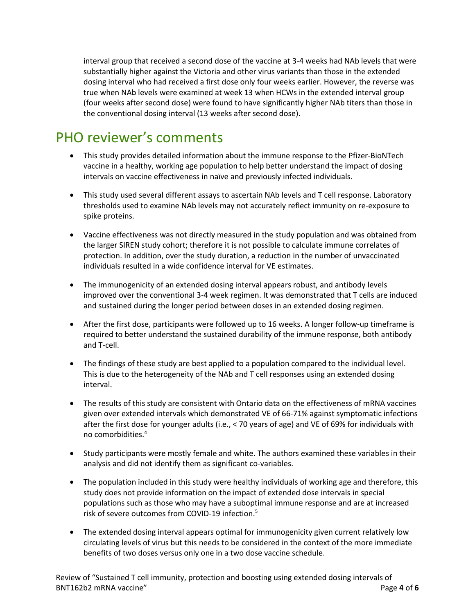interval group that received a second dose of the vaccine at 3-4 weeks had NAb levels that were substantially higher against the Victoria and other virus variants than those in the extended dosing interval who had received a first dose only four weeks earlier. However, the reverse was true when NAb levels were examined at week 13 when HCWs in the extended interval group (four weeks after second dose) were found to have significantly higher NAb titers than those in the conventional dosing interval (13 weeks after second dose).

### PHO reviewer's comments

- This study provides detailed information about the immune response to the Pfizer-BioNTech vaccine in a healthy, working age population to help better understand the impact of dosing intervals on vaccine effectiveness in naïve and previously infected individuals.
- This study used several different assays to ascertain NAb levels and T cell response. Laboratory thresholds used to examine NAb levels may not accurately reflect immunity on re-exposure to spike proteins.
- Vaccine effectiveness was not directly measured in the study population and was obtained from the larger SIREN study cohort; therefore it is not possible to calculate immune correlates of protection. In addition, over the study duration, a reduction in the number of unvaccinated individuals resulted in a wide confidence interval for VE estimates.
- The immunogenicity of an extended dosing interval appears robust, and antibody levels improved over the conventional 3-4 week regimen. It was demonstrated that T cells are induced and sustained during the longer period between doses in an extended dosing regimen.
- After the first dose, participants were followed up to 16 weeks. A longer follow-up timeframe is required to better understand the sustained durability of the immune response, both antibody and T-cell.
- The findings of these study are best applied to a population compared to the individual level. This is due to the heterogeneity of the NAb and T cell responses using an extended dosing interval.
- The results of this study are consistent with Ontario data on the effectiveness of mRNA vaccines given over extended intervals which demonstrated VE of 66-71% against symptomatic infections after the first dose for younger adults (i.e., < 70 years of age) and VE of 69% for individuals with no comorbidities.<sup>4</sup>
- Study participants were mostly female and white. The authors examined these variables in their analysis and did not identify them as significant co-variables.
- The population included in this study were healthy individuals of working age and therefore, this study does not provide information on the impact of extended dose intervals in special populations such as those who may have a suboptimal immune response and are at increased risk of severe outcomes from COVID-19 infection.<sup>5</sup>
- The extended dosing interval appears optimal for immunogenicity given current relatively low circulating levels of virus but this needs to be considered in the context of the more immediate benefits of two doses versus only one in a two dose vaccine schedule.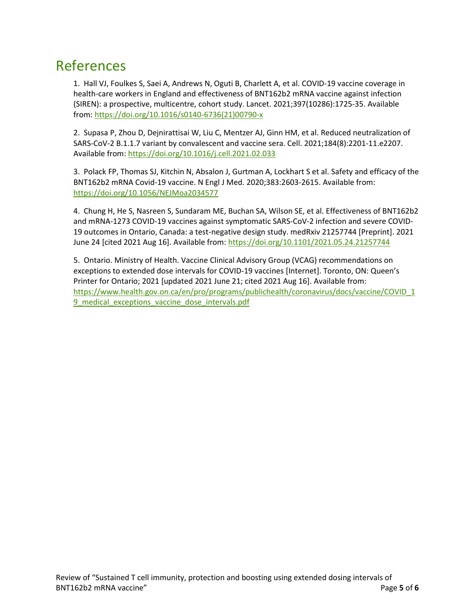### References

1. Hall VJ, Foulkes S, Saei A, Andrews N, Oguti B, Charlett A, et al. COVID-19 vaccine coverage in health-care workers in England and effectiveness of BNT162b2 mRNA vaccine against infection (SIREN): a prospective, multicentre, cohort study. Lancet. 2021;397(10286):1725-35. Available from: [https://doi.org/10.1016/s0140-6736\(21\)00790-x](https://doi.org/10.1016/s0140-6736(21)00790-x)

2. Supasa P, Zhou D, Dejnirattisai W, Liu C, Mentzer AJ, Ginn HM, et al. Reduced neutralization of SARS-CoV-2 B.1.1.7 variant by convalescent and vaccine sera. Cell. 2021;184(8):2201-11.e2207. Available from:<https://doi.org/10.1016/j.cell.2021.02.033>

3. Polack FP, Thomas SJ, Kitchin N, Absalon J, Gurtman A, Lockhart S et al. Safety and efficacy of the BNT162b2 mRNA Covid-19 vaccine. N Engl J Med. 2020;383:2603-2615. Available from: <https://doi.org/10.1056/NEJMoa2034577>

4. Chung H, He S, Nasreen S, Sundaram ME, Buchan SA, Wilson SE, et al. Effectiveness of BNT162b2 and mRNA-1273 COVID-19 vaccines against symptomatic SARS-CoV-2 infection and severe COVID-19 outcomes in Ontario, Canada: a test-negative design study. medRxiv 21257744 [Preprint]. 2021 June 24 [cited 2021 Aug 16]. Available from:<https://doi.org/10.1101/2021.05.24.21257744>

5. Ontario. Ministry of Health. Vaccine Clinical Advisory Group (VCAG) recommendations on exceptions to extended dose intervals for COVID-19 vaccines [Internet]. Toronto, ON: Queen's Printer for Ontario; 2021 [updated 2021 June 21; cited 2021 Aug 16]. Available from: [https://www.health.gov.on.ca/en/pro/programs/publichealth/coronavirus/docs/vaccine/COVID\\_1](https://www.health.gov.on.ca/en/pro/programs/publichealth/coronavirus/docs/vaccine/COVID_19_medical_exceptions_vaccine_dose_intervals.pdf) 9 medical exceptions vaccine dose intervals.pdf